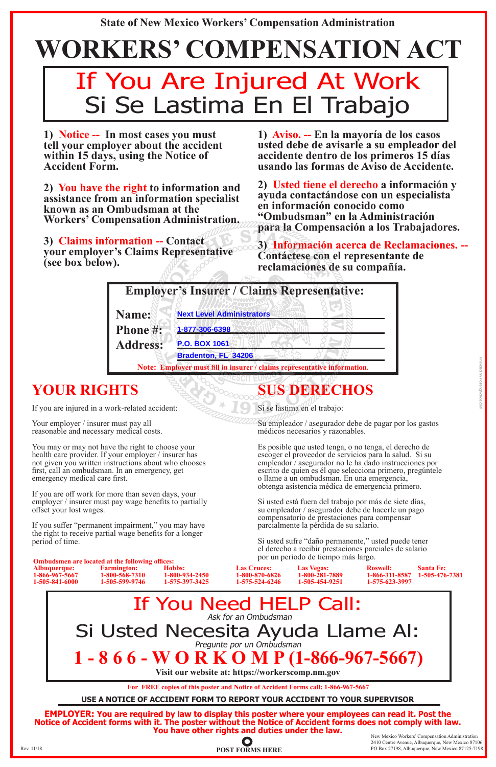**1) Notice -- In most cases you must tell your employer about the accident within 15 days, using the Notice of Accident Form.** 

**2) You have the right to information and assistance from an information specialist known as an Ombudsman at the Workers' Compensation Administration.** 

**3) Claims information -- Contact your employer's Claims Representative (see box below).**

## **SUS DERECHOS**

Si se lastima en el trabajo:

Su empleador / asegurador debe de pagar por los gastos médicos necesarios y razonables.

Your employer / insurer must pay all reasonable and necessary medical costs.

> Es posible que usted tenga, o no tenga, el derecho de escoger el proveedor de servicios para la salud. Si su empleador / asegurador no le ha dado instrucciones por escrito de quien es él que selecciona primero, pregúntele o llame a un ombudsman. En una emergencia, obtenga asistencia médica de emergencia primero.

Si usted está fuera del trabajo por más de siete días, su empleador / asegurador debe de hacerle un pago compensatorio de prestaciones para compensar parcialmente la pérdida de su salario.

New Mexico Workers' Compensation Administration 2410 Centre Avenue, Albuquerque, New Mexico 87106 Rev.  $11/18$  POST FORMS HERE POINT FORMS HERE POINT PO Box 27198, Albuquerque, New Mexico 87125-7198

Si usted sufre "daño permanente," usted puede tener el derecho a recibir prestaciones parciales de salario por un periodo de tiempo más largo.

### **YOUR RIGHTS**

If you are injured in a work-related accident:

You may or may not have the right to choose your health care provider. If your employer / insurer has not given you written instructions about who chooses first, call an ombudsman. In an emergency, get emergency medical care first.

# **WORKERS' COMPENSATION ACT** If You Are Injured At Work Si Se Lastima En El Trabajo

If you are off work for more than seven days, your employer / insurer must pay wage benefits to partially offset your lost wages.

If you suffer "permanent impairment," you may have the right to receive partial wage benefits for a longer period of time.

**USE A NOTICE OF ACCIDENT FORM TO REPORT YOUR ACCIDENT TO YOUR SUPERVISOR** 

**For FREE copies of this poster and Notice of Accident Forms call: 1-866-967-5667**

**EMPLOYER: You are required by law to display this poster where your employees can read it. Post the Notice of Accident forms with it. The poster without the Notice of Accident forms does not comply with law. You have other rights and duties under the law.**

**1) Aviso. -- En la mayoría de los casos**  accidente dentro de los primeros 15 días **usando las formas de Aviso de Accidente.**

**2) Usted tiene el derecho a información y ayuda contactándose con un especialista en información conocido como "Ombudsman" en la Administración para la Compensación a los Trabajadores.** 

**3) Información acerca de Reclamaciones. -- Contáctese con el representante de reclamaciones de su compañía.** 

|                 | <b>Employer's Insurer / Claims Representative:</b>                       |
|-----------------|--------------------------------------------------------------------------|
| Name:           | <b>Next Level Administrators</b>                                         |
| Phone#:         | 1-877-306-6398                                                           |
| <b>Address:</b> | <b>P.O. BOX 1061</b>                                                     |
|                 | Bradenton, FL 34206                                                      |
|                 | Note: Employer must fill in insurer / claims representative information. |